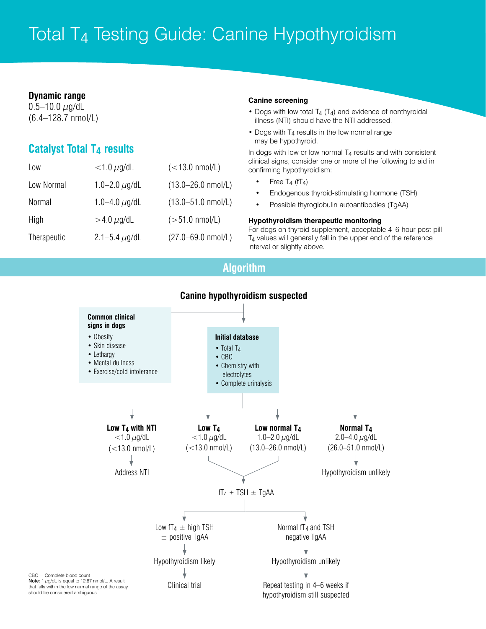# Total T4 Testing Guide: Canine Hypothyroidism

### **Dynamic range**

 $0.5 - 10.0 \mu g/dL$ (6.4–128.7 nmol/L)

## **Catalyst Total T4 results**

| Low         | $<$ 1.0 $\mu$ g/dL | $(<13.0$ nmol/L)               |
|-------------|--------------------|--------------------------------|
| Low Normal  | 1.0–2.0 $\mu$ g/dL | $(13.0 - 26.0 \text{ nmol/L})$ |
| Normal      | 1.0–4.0 $\mu$ g/dL | $(13.0 - 51.0 \text{ nmol/L})$ |
| High        | $>$ 4.0 $\mu$ g/dL | $(>51.0 \text{ nmol/L})$       |
| Therapeutic | 2.1–5.4 $\mu$ g/dL | $(27.0 - 69.0 \text{ nmol/L})$ |

### **Canine screening**

- Dogs with low total T<sub>4</sub> (T<sub>4</sub>) and evidence of nonthyroidal illness (NTI) should have the NTI addressed.
- Dogs with T<sub>4</sub> results in the low normal range may be hypothyroid.

In dogs with low or low normal  $T_4$  results and with consistent clinical signs, consider one or more of the following to aid in confirming hypothyroidism:

- Free  $T_4$  (f $T_4$ )
- Endogenous thyroid-stimulating hormone (TSH)
- Possible thyroglobulin autoantibodies (TgAA)

### **Hypothyroidism therapeutic monitoring**

For dogs on thyroid supplement, acceptable 4–6-hour post-pill T4 values will generally fall in the upper end of the reference interval or slightly above.

## **Algorithm**



### **Canine hypothyroidism suspected**

CBC = Complete blood count Note:  $1 \mu g/dL$  is equal to 12.87 nmol/L. A result that falls within the low normal range of the assay should be considered ambiguous.